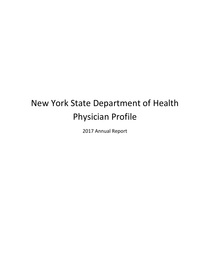# New York State Department of Health Physician Profile

2017 Annual Report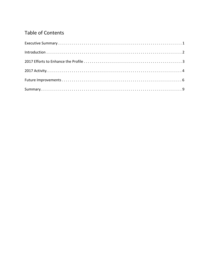# **Table of Contents**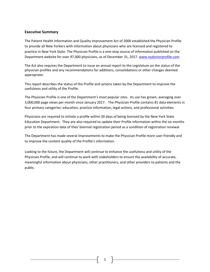#### **Executive Summary**

The Patient Health Information and Quality Improvement Act of 2000 established the Physician Profile to provide all New Yorkers with information about physicians who are licensed and registered to practice in New York State. The Physician Profile is a one-stop source of information published on the Department website for over 97,000 physicians, as of December 31, 2017. www.nydoctorprofile.com

The Act also requires the Department to issue an annual report to the Legislature on the status of the physician profiles and any recommendations for additions, consolidations or other changes deemed appropriate.

This report describes the status of the Profile and actions taken by the Department to improve the usefulness and utility of the Profile.

The Physician Profile is one of the Department's most popular sites. Its use has grown, averaging over 3,000,000 page views per month since January 2017. The Physician Profile contains 81 data elements in four primary categories: education, practice information, legal actions, and professional activities.

Physicians are required to initiate a profile within 30 days of being licensed by the New York State Education Department. They are also required to update their Profile information within the six months prior to the expiration date of their biennial registration period as a condition of registration renewal.

The Department has made several improvements to make the Physician Profile more user-friendly and to improve the content quality of the Profile's information.

Looking to the future, the Department will continue to enhance the usefulness and utility of the Physician Profile, and will continue to work with stakeholders to ensure the availability of accurate, meaningful information about physicians, other practitioners, and other providers to patients and the public.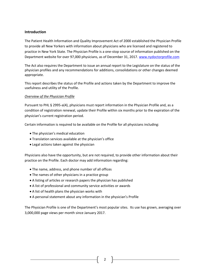# **Introduction**

The Patient Health Information and Quality Improvement Act of 2000 established the Physician Profile to provide all New Yorkers with information about physicians who are licensed and registered to practice in New York State. The Physician Profile is a one-stop source of information published on the Department website for over 97,000 physicians, as of December 31, 2017. www.nydoctorprofile.com

The Act also requires the Department to issue an annual report to the Legislature on the status of the physician profiles and any recommendations for additions, consolidations or other changes deemed appropriate.

This report describes the status of the Profile and actions taken by the Department to improve the usefulness and utility of the Profile.

#### *Overview of the Physician Profile*

Pursuant to PHL § 2995-a(4), physicians must report information in the Physician Profile and, as a condition of registration renewal, update their Profile within six months prior to the expiration of the physician's current registration period.

Certain information is required to be available on the Profile for all physicians including:

- The physician's medical education
- Translation services available at the physician's office
- Legal actions taken against the physician

Physicians also have the opportunity, but are not required, to provide other information about their practice on the Profile. Each doctor may add information regarding:

- The name, address, and phone number of all offices
- The names of other physicians in a practice group
- A listing of articles or research papers the physician has published
- A list of professional and community service activities or awards
- A list of health plans the physician works with
- A personal statement about any information in the physician's Profile

The Physician Profile is one of the Department's most popular sites. Its use has grown, averaging over 3,000,000 page views per month since January 2017.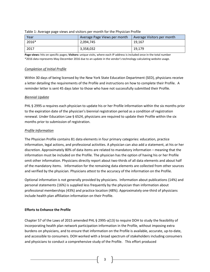| Year  | Average Page Views per month | Average Visitors per month |  |  |
|-------|------------------------------|----------------------------|--|--|
| 2016* | 2,094,745                    | 19.167                     |  |  |
| 2017  | 3,358,032                    | 19.179                     |  |  |

#### Table 1: Average page views and visitors per month for the Physician Profile

**Page views:** hits on specific pages; **Visitors:** unique visits, where each IP address is included once in the total number \*2016 data represents May-December 2016 due to an update in the vendor's technology calculating website usage.

#### *Completion of Initial Profile*

Within 30 days of being licensed by the New York State Education Department (SED), physicians receive a letter detailing the requirements of the Profile and instructions on how to complete their Profile. A reminder letter is sent 45 days later to those who have not successfully submitted their Profile.

#### *Biennial Update*

PHL § 2995-a requires each physician to update his or her Profile information within the six months prior to the expiration date of the physician's biennial registration period as a condition of registration renewal. Under Education Law § 6524, physicians are required to update their Profile within the six months prior to submission of registration.

#### *Profile Information*

The Physician Profile contains 81 data elements in four primary categories: education, practice information, legal actions, and professional activities. A physician can also add a statement, at his or her discretion. Approximately 80% of data items are related to mandatory information – meaning that the information must be included on the Profile. The physician has the option of having his or her Profile omit other information. Physicians directly report about two-thirds of all data elements and about half of the mandatory items. Information for the remaining data elements are collected from other sources and verified by the physician. Physicians attest to the accuracy of the information on the Profile.

Optional information is not generally provided by physicians. Information about publications (14%) and personal statements (16%) is supplied less frequently by the physician than information about professional memberships (43%) and practice location (48%). Approximately one-third of physicians include health plan affiliation information on their Profile.

# **Efforts to Enhance the Profile**

Chapter 57 of the Laws of 2015 amended PHL § 2995-a(13) to require DOH to study the feasibility of incorporating health plan network participation information in the Profile, without imposing extra burdens on physicians, and to ensure that information on the Profile is available, accurate, up-to-date, and accessible to consumers. DOH worked with a broad spectrum of stakeholders including consumers and physicians to conduct a comprehensive study of the Profile. This effort produced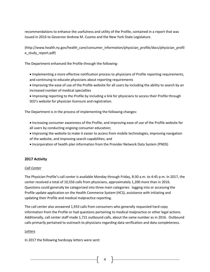recommendations to enhance the usefulness and utility of the Profile, contained in a report that was issued in 2016 to Governor Andrew M. Cuomo and the New York State Legislature.

(http://www.health.ny.gov/health\_care/consumer\_information/physician\_profile/docs/physician\_profil e\_study\_report.pdf)

The Department enhanced the Profile through the following:

- Implementing a more effective notification process to physicians of Profile reporting requirements, and continuing to educate physicians about reporting requirements
- Improving the ease of use of the Profile website for all users by including the ability to search by an increased number of medical specialties
- Improving reporting to the Profile by including a link for physicians to access their Profile through SED's website for physician licensure and registration.

The Department is in the process of implementing the following changes:

- Increasing consumer awareness of the Profile, and improving ease of use of the Profile website for all users by conducting ongoing consumer education;
- Improving the website to make it easier to access from mobile technologies, improving navigation of the website, and improving search capabilities; and
- Incorporation of health plan information from the Provider Network Data System (PNDS)

# **2017 Activity**

# *Call Center*

The Physician Profile's call center is available Monday through Friday, 8:30 a.m. to 4:45 p.m. In 2017, the center received a total of 10,556 calls from physicians, approximately 1,200 more than in 2016. Questions could generally be categorized into three main categories: logging into or accessing the Profile update application on the Health Commerce System (HCS), assistance with initiating and updating their Profile and medical malpractice reporting.

The call center also answered 1,933 calls from consumers who generally requested hard copy information from the Profile or had questions pertaining to medical malpractice or other legal actions. Additionally, call center staff made 1,721 outbound calls, about the same number as in 2016. Outbound calls primarily pertained to outreach to physicians regarding data verification and data completeness.

# *Letters*

In 2017 the following hardcopy letters were sent: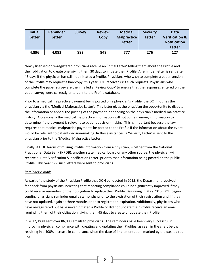| <b>Initial</b><br>Letter | Reminder<br>Letter | <b>Survey</b> | <b>Review</b><br>Copy | <b>Medical</b><br><b>Malpractice</b><br><b>Letter</b> | <b>Severity</b><br>Letter | Data<br><b>Verification &amp;</b><br><b>Notification</b> |
|--------------------------|--------------------|---------------|-----------------------|-------------------------------------------------------|---------------------------|----------------------------------------------------------|
|                          |                    |               |                       |                                                       |                           | <b>Letter</b>                                            |
| 4,896                    | 4,083              | 883           | 849                   | 777                                                   | 276                       | 127                                                      |

Newly licensed or re-registered physicians receive an 'Initial Letter' telling them about the Profile and their obligation to create one, giving them 30 days to initiate their Profile. A reminder letter is sent after 45 days if the physician has still not initiated a Profile. Physicians who wish to complete a paper version of the Profile may request a hardcopy; this year DOH received 883 such requests. Physicians who complete the paper survey are then mailed a 'Review Copy' to ensure that the responses entered on the paper survey were correctly entered into the Profile database.

Prior to a medical malpractice payment being posted on a physician's Profile, the DOH notifies the physician via the 'Medical Malpractice Letter'. This letter gives the physician the opportunity to dispute the information or appeal the posting of the payment, depending on the physician's medical malpractice history. Occasionally the medical malpractice information will not contain enough information to determine if the payment is relevant to patient decision-making. This is important because the law requires that medical malpractice payments be posted to the Profile if the information about the event would be relevant to patient decision-making. In those instances, a 'Severity Letter' is sent to the physician prior to the 'Medical Malpractice Letter'.

Finally, if DOH learns of missing Profile information from a physician, whether from the National Practitioner Data Bank (NPDB), another state medical board or any other source, the physician will receive a 'Data Verification & Notification Letter' prior to that information being posted on the public Profile. This year 127 such letters were sent to physicians.

# *Reminder e-mails*

As part of the study of the Physician Profile that DOH conducted in 2015, the Department received feedback from physicians indicating that reporting compliance could be significantly improved if they could receive reminders of their obligation to update their Profile. Beginning in May 2016, DOH began sending physicians reminder emails six months prior to the expiration of their registration and, if they have not updated, again at three months prior to registration expiration. Additionally, physicians who have re-registered but have never initiated a Profile or did not update their Profile receive an email reminding them of their obligation, giving them 45 days to create or update their Profile.

In 2017, DOH sent over 86,000 emails to physicians. The reminders have been very successful in improving physician compliance with creating and updating their Profiles, as seen in the chart below resulting in a 400% increase in compliance since the date of implementation, marked by the dashed red line.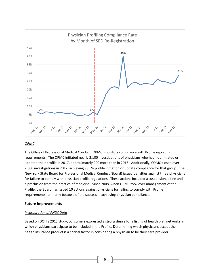

#### *OPMC*

The Office of Professional Medical Conduct (OPMC) monitors compliance with Profile reporting requirements. The OPMC initiated nearly 2,100 investigations of physicians who had not initiated or updated their profile in 2017, approximately 200 more than in 2016. Additionally, OPMC closed over 2,300 investigations in 2017, achieving 98.5% profile initiation or update compliance for that group. The New York State Board for Professional Medical Conduct (Board) issued penalties against three physicians for failure to comply with physician profile regulations. These actions included a suspension, a fine and a preclusion from the practice of medicine. Since 2008, when OPMC took over management of the Profile, the Board has issued 10 actions against physicians for failing to comply with Profile requirements, primarily because of the success in achieving physician compliance.

#### **Future Improvements**

#### *Incorporation of PNDS Data*

Based on DOH's 2015 study, consumers expressed a strong desire for a listing of health plan networks in which physicians participate to be included in the Profile. Determining which physicians accept their health insurance product is a critical factor in considering a physician to be their care provider.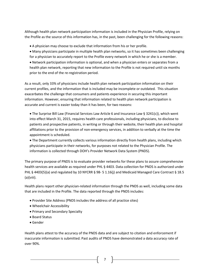Although health plan network participation information is included in the Physician Profile, relying on the Profile as the source of this information has, in the past, been challenging for the following reasons:

- A physician may choose to exclude that information from his or her profile.
- Many physicians participate in multiple health plan networks, so it has sometimes been challenging for a physician to accurately report to the Profile every network in which he or she is a member. • Network participation information is optional, and when a physician enters or separates from a health plan network, reporting that new information to the Profile is not required until six months prior to the end of the re-registration period.

As a result, only 33% of physicians include health plan network participation information on their current profiles, and the information that is included may be incomplete or outdated. This situation exacerbates the challenge that consumers and patients experience in securing this important information. However, ensuring that information related to health plan network participation is accurate and current is easier today than it has been, for two reasons:

• The Surprise Bill Law (Financial Services Law Article 6 and Insurance Law § 3241(c)), which went into effect March 31, 2015, requires health care professionals, including physicians, to disclose to patients and prospective patients, in writing or through their website, their health plan and hospital affiliations prior to the provision of non-emergency services, in addition to verbally at the time the appointment is scheduled.

• The Department currently collects various information directly from health plans, including which physicians participate in their networks, for purposes not related to the Physician Profile. The information is collected through DOH's Provider Network Data System (PNDS).

The primary purpose of PNDS is to evaluate provider networks for these plans to assure comprehensive health services are available as required under PHL § 4403. Data collection for PNDS is authorized under PHL § 4403(5)(a) and regulated by 10 NYCRR § 98- 5 1.16(j) and Medicaid Managed Care Contract § 18.5 (a)(viii).

Health plans report other physician-related information through the PNDS as well, including some data that are included in the Profile. The data reported through the PNDS includes:

- Provider Site Address (PNDS includes the address of all practice sites)
- Wheelchair Accessibility
- Primary and Secondary Specialty
- Board Status
- Gender

Health plans attest to the accuracy of the PNDS data and are subject to citation and enforcement if inaccurate information is submitted. Past audits of PNDS have demonstrated a data accuracy rate of over 90%.

7 |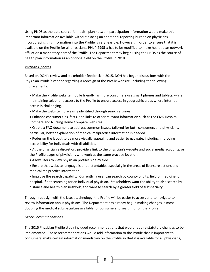Using PNDS as the data source for health plan network participation information would make this important information available without placing an additional reporting burden on physicians. Incorporating this information into the Profile is very feasible. However, in order to ensure that it is available on the Profile for all physicians, PHL § 2995-a has to be modified to make health plan network affiliation a mandatory part of the Profile. The Department may begin using the PNDS as the source of health plan information as an optional field on the Profile in 2018.

#### *Website Updates*

Based on DOH's review and stakeholder feedback in 2015, DOH has begun discussions with the Physician Profile's vendor regarding a redesign of the Profile website, including the following improvements:

- Make the Profile website mobile friendly, as more consumers use smart phones and tablets, while maintaining telephone access to the Profile to ensure access in geographic areas where internet access is challenging.
- Make the website more easily identified through search engines.
- Enhance consumer tips, facts, and links to other relevant information such as the CMS Hospital Compare and Nursing Home Compare websites.
- Create a FAQ document to address common issues, tailored for both consumers and physicians. In particular, better explanation of medical malpractice information is needed.
- Redesign the layout to be more visually appealing and easier to navigate, including improving accessibility for individuals with disabilities.
- At the physician's discretion, provide a link to the physician's website and social media accounts, or the Profile pages of physicians who work at the same practice location.
- Allow users to view physician profiles side by side.
- Ensure that website language is understandable, especially in the areas of licensure actions and medical malpractice information.
- Improve the search capability. Currently, a user can search by county or city, field of medicine, or hospital, if not searching for an individual physician. Stakeholders want the ability to also search by distance and health plan network, and want to search by a greater field of subspecialty.

Through redesign with the latest technology, the Profile will be easier to access and to navigate to review information about physicians. The Department has already begun making changes, almost doubling the medical subspecialties available for consumers to search for on the Profile.

# *Other Recommendations*

The 2015 Physician Profile study included recommendations that would require statutory changes to be implemented. These recommendations would add information to the Profile that is important to consumers, make certain information mandatory on the Profile so that it is available for all physicians,